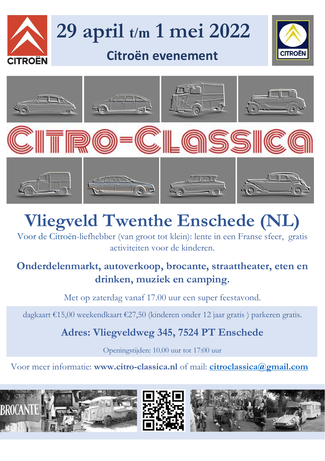



## **Vliegveld Twenthe Enschede (NL)**

Voor de Citroën-liefhebber (van groot tot klein): lente in een Franse sfeer, gratis activiteiten voor de kinderen.

## **Onderdelenmarkt, autoverkoop, brocante, straattheater, eten en drinken, muziek en camping.**

Met op zaterdag vanaf 17.00 uur een super feestavond.

dagkaart €15,00 weekendkaart €27,50 (kinderen onder 12 jaar gratis ) parkeren gratis.

**Adres: Vliegveldweg 345, 7524 PT Enschede**

Openingstijden: 10.00 uur tot 17:00 uur

Voor meer informatie: **[www.citro-classica.nl](http://www.citro-classica.nl/)** of mail: **[citroclassica@gmail.com](mailto:citroclassica@gmail.com)**